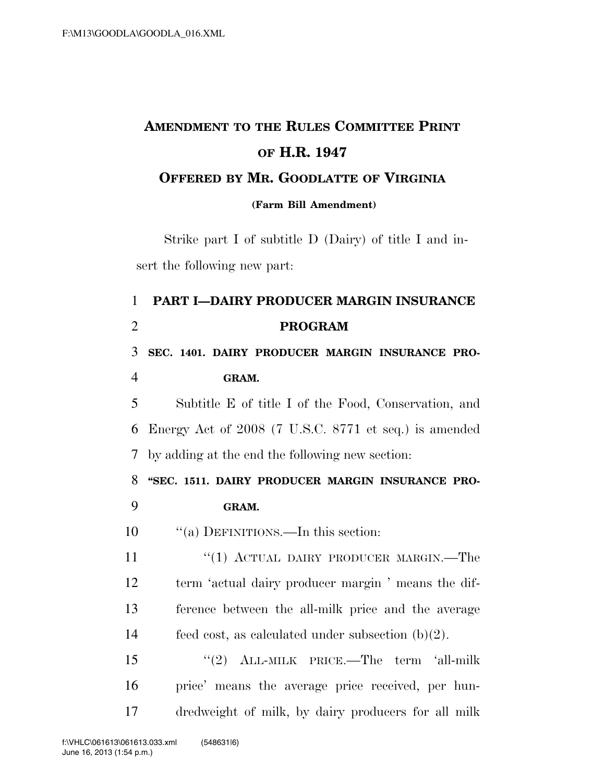## **AMENDMENT TO THE RULES COMMITTEE PRINT OF H.R. 1947 OFFERED BY MR. GOODLATTE OF VIRGINIA**

**(Farm Bill Amendment)**

Strike part I of subtitle D (Dairy) of title I and insert the following new part:

## 1 **PART I—DAIRY PRODUCER MARGIN INSURANCE**  2 **PROGRAM**  3 **SEC. 1401. DAIRY PRODUCER MARGIN INSURANCE PRO-**4 **GRAM.**  5 Subtitle E of title I of the Food, Conservation, and 6 Energy Act of 2008 (7 U.S.C. 8771 et seq.) is amended 7 by adding at the end the following new section: 8 **''SEC. 1511. DAIRY PRODUCER MARGIN INSURANCE PRO-**9 **GRAM.**  10  $\frac{1}{2}$  (a) DEFINITIONS.—In this section: 11 "(1) ACTUAL DAIRY PRODUCER MARGIN.—The 12 term 'actual dairy producer margin ' means the dif-13 ference between the all-milk price and the average 14 feed cost, as calculated under subsection (b)(2). 15 ''(2) ALL-MILK PRICE.—The term 'all-milk 16 price' means the average price received, per hun-17 dredweight of milk, by dairy producers for all milk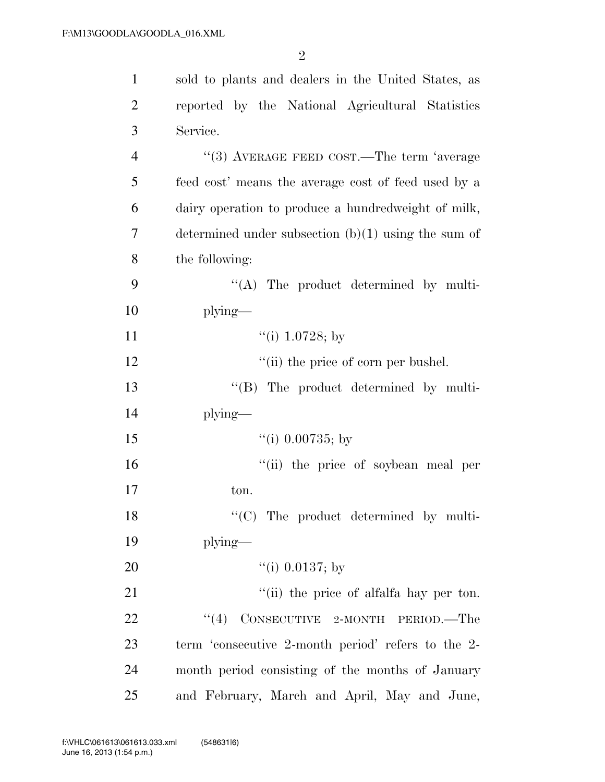| $\mathbf{1}$   | sold to plants and dealers in the United States, as   |  |
|----------------|-------------------------------------------------------|--|
| $\overline{2}$ | reported by the National Agricultural Statistics      |  |
| 3              | Service.                                              |  |
| $\overline{4}$ | $``(3)$ AVERAGE FEED COST.—The term 'average          |  |
| 5              | feed cost' means the average cost of feed used by a   |  |
| 6              | dairy operation to produce a hundredweight of milk,   |  |
| 7              | determined under subsection $(b)(1)$ using the sum of |  |
| 8              | the following:                                        |  |
| 9              | $\lq\lq$ . The product determined by multi-           |  |
| 10             | plying—                                               |  |
| 11             | "(i) 1.0728; by                                       |  |
| 12             | "(ii) the price of corn per bushel.                   |  |
| 13             | $\lq\lq (B)$ The product determined by multi-         |  |
| 14             | plying—                                               |  |
| 15             | "(i) $0.00735$ ; by                                   |  |
| 16             | "(ii) the price of soybean meal per                   |  |
| 17             | ton.                                                  |  |
| 18             | $\lq\lq$ The product determined by multi-             |  |
| 19             | plying—                                               |  |
| 20             | "(i) $0.0137$ ; by                                    |  |
| 21             | "(ii) the price of alfalfa hay per ton.               |  |
| 22             | $CONSECTIONE 2-MONTH$<br>(4)<br>PERIOD.—The           |  |
| 23             | term 'consecutive 2-month period' refers to the 2-    |  |
| 24             | month period consisting of the months of January      |  |
| 25             | and February, March and April, May and June,          |  |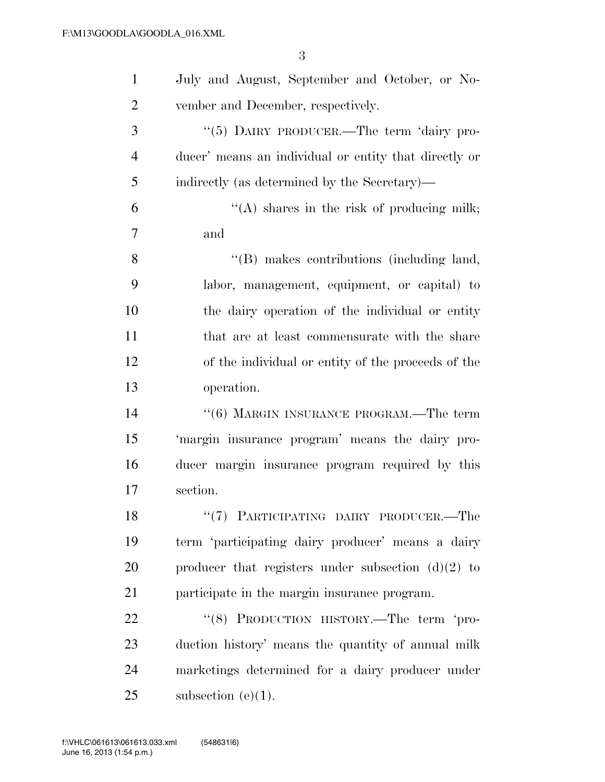| $\mathbf{1}$   | July and August, September and October, or No-        |
|----------------|-------------------------------------------------------|
| $\overline{2}$ | vember and December, respectively.                    |
| 3              | "(5) DAIRY PRODUCER.—The term 'dairy pro-             |
| $\overline{4}$ | ducer' means an individual or entity that directly or |
| 5              | indirectly (as determined by the Secretary)—          |
| 6              | "(A) shares in the risk of producing milk;            |
| $\overline{7}$ | and                                                   |
| 8              | "(B) makes contributions (including land,             |
| 9              | labor, management, equipment, or capital) to          |
| 10             | the dairy operation of the individual or entity       |
| 11             | that are at least commensurate with the share         |
| 12             | of the individual or entity of the proceeds of the    |
| 13             | operation.                                            |
| 14             | "(6) MARGIN INSURANCE PROGRAM.—The term               |
| 15             | 'margin insurance program' means the dairy pro-       |
| 16             | ducer margin insurance program required by this       |
| 17             | section.                                              |
| 18             | "(7) PARTICIPATING DAIRY PRODUCER.-<br>$-{\rm The}$   |
| 19             | term 'participating dairy producer' means a dairy     |
| 20             | producer that registers under subsection $(d)(2)$ to  |
| 21             | participate in the margin insurance program.          |
| 22             | "(8) PRODUCTION HISTORY.—The term 'pro-               |
| 23             | duction history' means the quantity of annual milk    |
| 24             | marketings determined for a dairy producer under      |
| 25             | subsection $(e)(1)$ .                                 |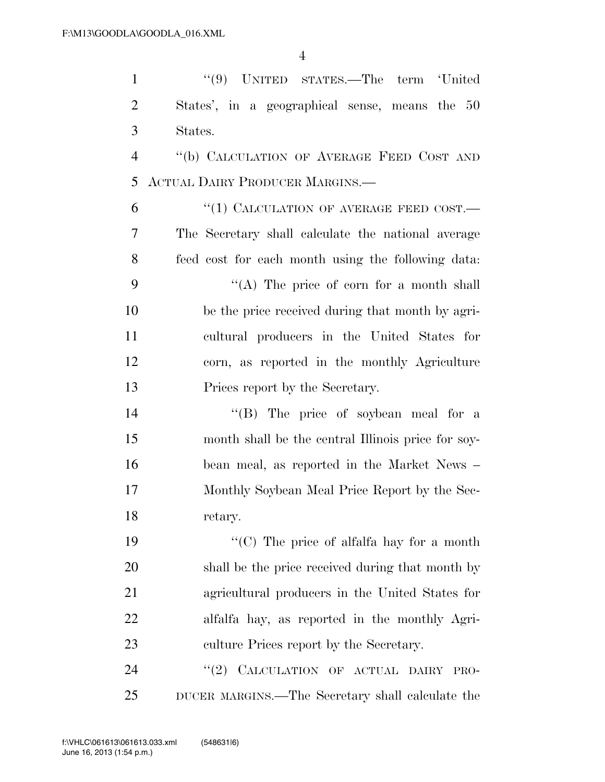| $\mathbf{1}$   | "(9) UNITED STATES.—The term 'United               |
|----------------|----------------------------------------------------|
| $\overline{2}$ | States', in a geographical sense, means the 50     |
| 3              | States.                                            |
| $\overline{4}$ | "(b) CALCULATION OF AVERAGE FEED COST AND          |
| 5              | <b>ACTUAL DAIRY PRODUCER MARGINS.—</b>             |
| 6              | "(1) CALCULATION OF AVERAGE FEED COST.—            |
| 7              | The Secretary shall calculate the national average |
| 8              | feed cost for each month using the following data: |
| 9              | "(A) The price of corn for a month shall           |
| 10             | be the price received during that month by agri-   |
| 11             | cultural producers in the United States for        |
| 12             | corn, as reported in the monthly Agriculture       |
| 13             | Prices report by the Secretary.                    |
| 14             | "(B) The price of soybean meal for a               |
| 15             | month shall be the central Illinois price for soy- |
| 16             | bean meal, as reported in the Market News –        |
| 17             | Monthly Soybean Meal Price Report by the Sec-      |
| 18             | retary.                                            |
| 19             | "(C) The price of alfalfa hay for a month          |
| 20             | shall be the price received during that month by   |
| 21             | agricultural producers in the United States for    |
| 22             | alfalfa hay, as reported in the monthly Agri-      |
| 23             | culture Prices report by the Secretary.            |
| 24             | "(2) CALCULATION OF ACTUAL DAIRY<br>PRO-           |
| 25             | DUCER MARGINS.—The Secretary shall calculate the   |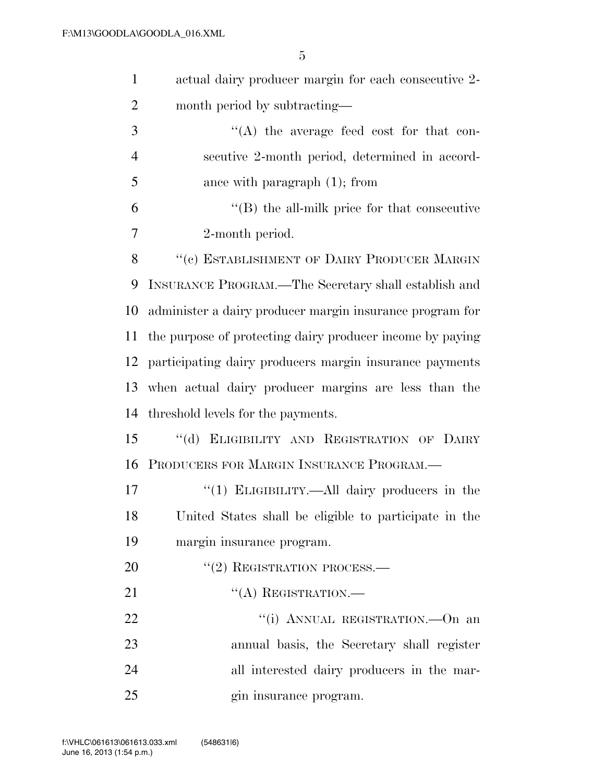| $\mathbf{1}$   | actual dairy producer margin for each consecutive 2-      |  |
|----------------|-----------------------------------------------------------|--|
| $\overline{2}$ | month period by subtracting—                              |  |
| 3              | $\lq\lq$ the average feed cost for that con-              |  |
| $\overline{4}$ | secutive 2-month period, determined in accord-            |  |
| 5              | ance with paragraph $(1)$ ; from                          |  |
| 6              | $\lq\lq$ the all-milk price for that consecutive          |  |
| 7              | 2-month period.                                           |  |
| 8              | "(c) ESTABLISHMENT OF DAIRY PRODUCER MARGIN               |  |
| 9              | INSURANCE PROGRAM.—The Secretary shall establish and      |  |
| 10             | administer a dairy producer margin insurance program for  |  |
| 11             | the purpose of protecting dairy producer income by paying |  |
| 12             | participating dairy producers margin insurance payments   |  |
| 13             | when actual dairy producer margins are less than the      |  |
| 14             | threshold levels for the payments.                        |  |
| 15             | $\lq\lq (d)$<br>ELIGIBILITY AND REGISTRATION OF DAIRY     |  |
| 16             | PRODUCERS FOR MARGIN INSURANCE PROGRAM.                   |  |
| 17             | "(1) ELIGIBILITY.—All dairy producers in the              |  |
| 18             | United States shall be eligible to participate in the     |  |
| 19             | margin insurance program.                                 |  |
| 20             | $``(2)$ REGISTRATION PROCESS.—                            |  |
| 21             | $``(A)$ REGISTRATION.—                                    |  |
| 22             | "(i) ANNUAL REGISTRATION. On an                           |  |
| 23             | annual basis, the Secretary shall register                |  |
| 24             | all interested dairy producers in the mar-                |  |
| 25             | gin insurance program.                                    |  |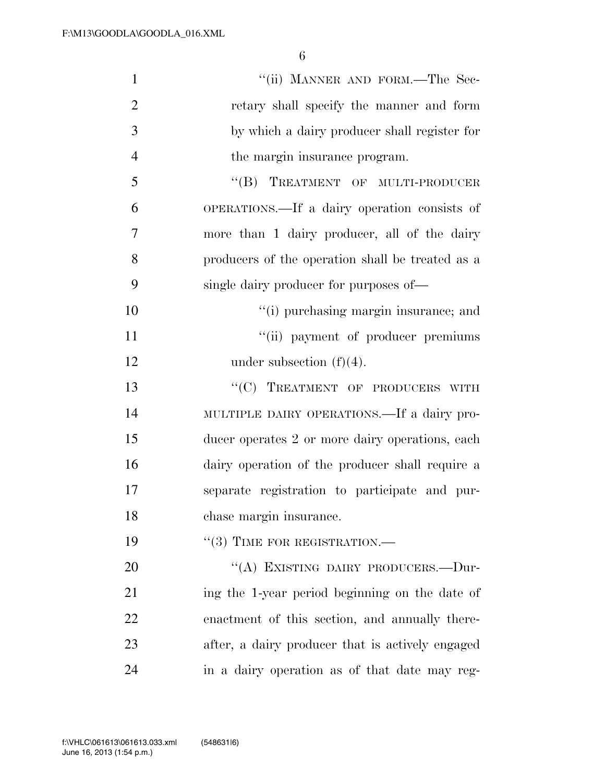| $\mathbf{1}$   | "(ii) MANNER AND FORM.—The Sec-                  |
|----------------|--------------------------------------------------|
| $\overline{2}$ | retary shall specify the manner and form         |
| 3              | by which a dairy producer shall register for     |
| $\overline{4}$ | the margin insurance program.                    |
| 5              | "(B) TREATMENT OF MULTI-PRODUCER                 |
| 6              | OPERATIONS.—If a dairy operation consists of     |
| 7              | more than 1 dairy producer, all of the dairy     |
| 8              | producers of the operation shall be treated as a |
| 9              | single dairy producer for purposes of—           |
| 10             | "(i) purchasing margin insurance; and            |
| 11             | "(ii) payment of producer premiums               |
| 12             | under subsection $(f)(4)$ .                      |
| 13             | "(C) TREATMENT OF PRODUCERS WITH                 |
| 14             | MULTIPLE DAIRY OPERATIONS.—If a dairy pro-       |
| 15             | ducer operates 2 or more dairy operations, each  |
| 16             | dairy operation of the producer shall require a  |
| 17             | separate registration to participate and pur-    |
| 18             | chase margin insurance.                          |
| 19             | $``(3)$ TIME FOR REGISTRATION.—                  |
| 20             | "(A) EXISTING DAIRY PRODUCERS.—Dur-              |
| 21             | ing the 1-year period beginning on the date of   |
| 22             | enactment of this section, and annually there-   |
| 23             | after, a dairy producer that is actively engaged |
| 24             | in a dairy operation as of that date may reg-    |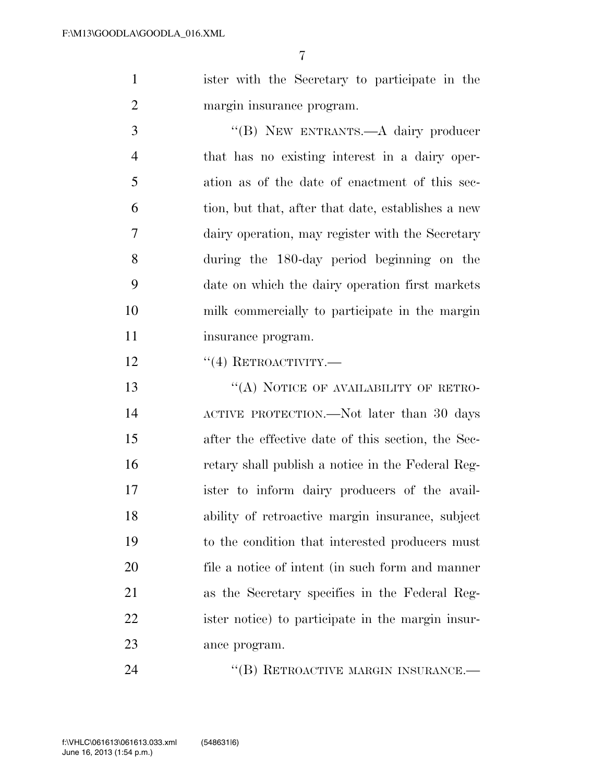ister with the Secretary to participate in the margin insurance program.

 ''(B) NEW ENTRANTS.—A dairy producer that has no existing interest in a dairy oper- ation as of the date of enactment of this sec- tion, but that, after that date, establishes a new dairy operation, may register with the Secretary during the 180-day period beginning on the date on which the dairy operation first markets milk commercially to participate in the margin 11 insurance program.

12 "(4) RETROACTIVITY.—

13 "(A) NOTICE OF AVAILABILITY OF RETRO- ACTIVE PROTECTION.—Not later than 30 days after the effective date of this section, the Sec- retary shall publish a notice in the Federal Reg- ister to inform dairy producers of the avail- ability of retroactive margin insurance, subject to the condition that interested producers must file a notice of intent (in such form and manner as the Secretary specifies in the Federal Reg- ister notice) to participate in the margin insur-ance program.

24 "(B) RETROACTIVE MARGIN INSURANCE.—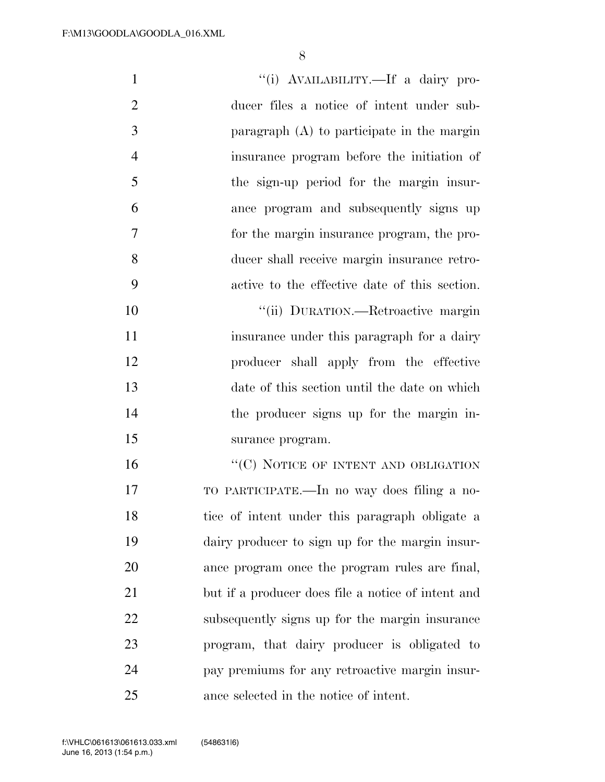| $\mathbf{1}$   | "(i) AVAILABILITY.—If a dairy pro-                 |
|----------------|----------------------------------------------------|
| $\overline{2}$ | ducer files a notice of intent under sub-          |
| 3              | paragraph $(A)$ to participate in the margin       |
| $\overline{4}$ | insurance program before the initiation of         |
| 5              | the sign-up period for the margin insur-           |
| 6              | ance program and subsequently signs up             |
| 7              | for the margin insurance program, the pro-         |
| 8              | ducer shall receive margin insurance retro-        |
| 9              | active to the effective date of this section.      |
| 10             | "(ii) DURATION.—Retroactive margin                 |
| 11             | insurance under this paragraph for a dairy         |
| 12             | producer shall apply from the effective            |
| 13             | date of this section until the date on which       |
| 14             | the producer signs up for the margin in-           |
| 15             | surance program.                                   |
| 16             | "(C) NOTICE OF INTENT AND OBLIGATION               |
| 17             | TO PARTICIPATE.—In no way does filing a no-        |
| 18             | tice of intent under this paragraph obligate a     |
| 19             | dairy producer to sign up for the margin insur-    |
| 20             | ance program once the program rules are final,     |
| 21             | but if a producer does file a notice of intent and |
| 22             | subsequently signs up for the margin insurance     |
| 23             | program, that dairy producer is obligated to       |
| 24             | pay premiums for any retroactive margin insur-     |
| 25             | ance selected in the notice of intent.             |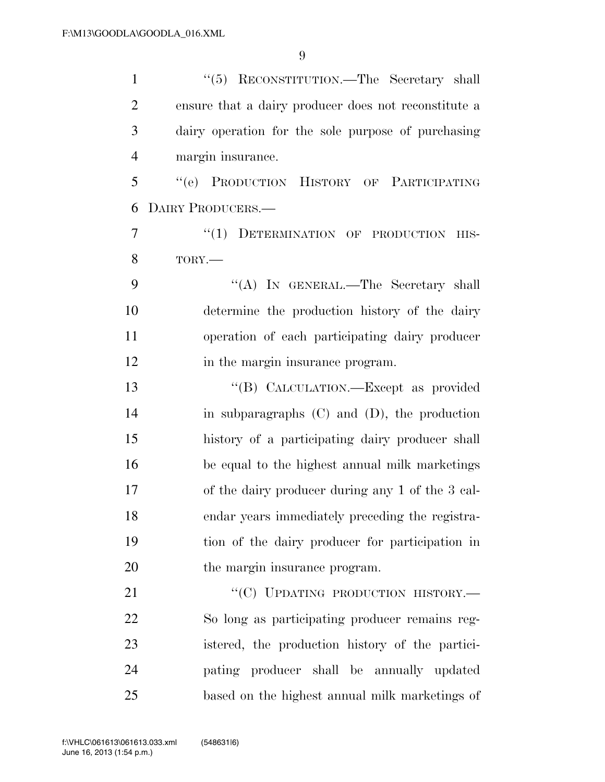| $\mathbf{1}$   | "(5) RECONSTITUTION.—The Secretary shall             |
|----------------|------------------------------------------------------|
| $\overline{2}$ | ensure that a dairy producer does not reconstitute a |
| 3              | dairy operation for the sole purpose of purchasing   |
| $\overline{4}$ | margin insurance.                                    |
| 5              | "(e) PRODUCTION HISTORY OF PARTICIPATING             |
| 6              | DAIRY PRODUCERS.                                     |
| 7              | "(1) DETERMINATION OF PRODUCTION<br>HIS-             |
| 8              | TORY.-                                               |
| 9              | "(A) IN GENERAL.—The Secretary shall                 |
| 10             | determine the production history of the dairy        |
| 11             | operation of each participating dairy producer       |
| 12             | in the margin insurance program.                     |
| 13             | "(B) CALCULATION.—Except as provided                 |
| 14             | in subparagraphs $(C)$ and $(D)$ , the production    |
| 15             | history of a participating dairy producer shall      |
| 16             | be equal to the highest annual milk marketings       |
| 17             | of the dairy producer during any 1 of the 3 cal-     |
| 18             | endar years immediately preceding the registra-      |
| 19             | tion of the dairy producer for participation in      |
| 20             | the margin insurance program.                        |
| 21             | "(C) UPDATING PRODUCTION HISTORY.-                   |
| 22             | So long as participating producer remains reg-       |
| 23             | istered, the production history of the partici-      |
| 24             | pating producer shall be annually updated            |
| 25             | based on the highest annual milk marketings of       |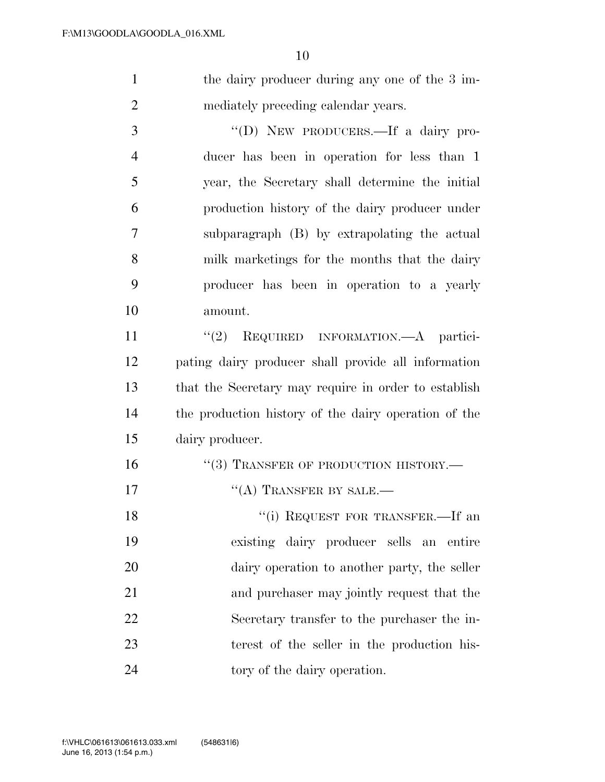1 the dairy producer during any one of the 3 im-mediately preceding calendar years.

 ''(D) NEW PRODUCERS.—If a dairy pro- ducer has been in operation for less than 1 year, the Secretary shall determine the initial production history of the dairy producer under subparagraph (B) by extrapolating the actual milk marketings for the months that the dairy producer has been in operation to a yearly amount.

 $(2)$  REQUIRED INFORMATION.—A partici- pating dairy producer shall provide all information that the Secretary may require in order to establish the production history of the dairy operation of the dairy producer.

- 16 "(3) TRANSFER OF PRODUCTION HISTORY.—
- 17 <sup>''</sup>(A) TRANSFER BY SALE.—

18 "(i) REQUEST FOR TRANSFER.—If an existing dairy producer sells an entire dairy operation to another party, the seller and purchaser may jointly request that the Secretary transfer to the purchaser the in- terest of the seller in the production his-24 tory of the dairy operation.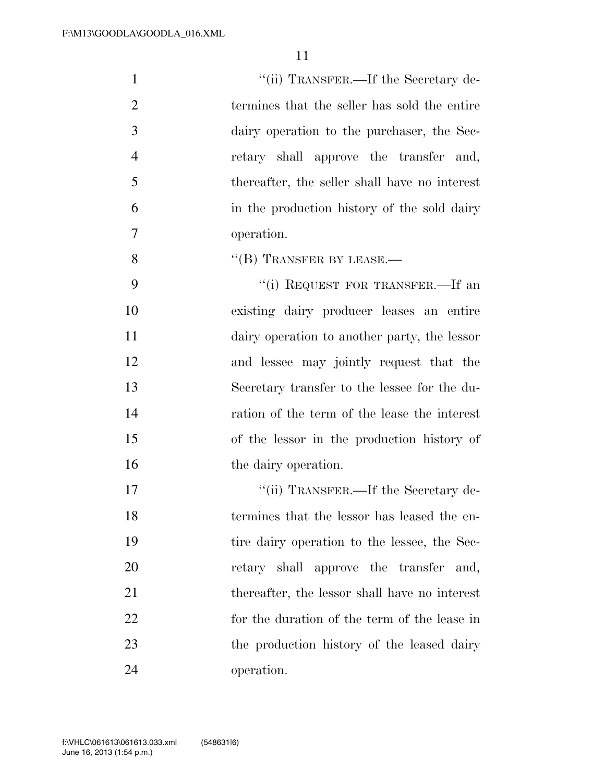| $\mathbf{1}$   | "(ii) TRANSFER.—If the Secretary de-          |
|----------------|-----------------------------------------------|
| $\overline{2}$ | termines that the seller has sold the entire  |
| 3              | dairy operation to the purchaser, the Sec-    |
| $\overline{4}$ | retary shall approve the transfer and,        |
| 5              | thereafter, the seller shall have no interest |
| 6              | in the production history of the sold dairy   |
| 7              | operation.                                    |
| 8              | $\lq$ <sup>"</sup> (B) TRANSFER BY LEASE.—    |
| 9              | "(i) REQUEST FOR TRANSFER.—If an              |
| 10             | existing dairy producer leases an entire      |
| 11             | dairy operation to another party, the lessor  |
| 12             | and lessee may jointly request that the       |
| 13             | Secretary transfer to the lessee for the du-  |
| 14             | ration of the term of the lease the interest  |
| 15             | of the lessor in the production history of    |
| 16             | the dairy operation.                          |
| 17             | "(ii) TRANSFER.—If the Secretary de-          |
| 18             | termines that the lessor has leased the en-   |
| 19             | tire dairy operation to the lessee, the Sec-  |
| 20             | retary shall approve the transfer and,        |
| 21             | thereafter, the lessor shall have no interest |
| 22             | for the duration of the term of the lease in  |
| 23             | the production history of the leased dairy    |
| 24             | operation.                                    |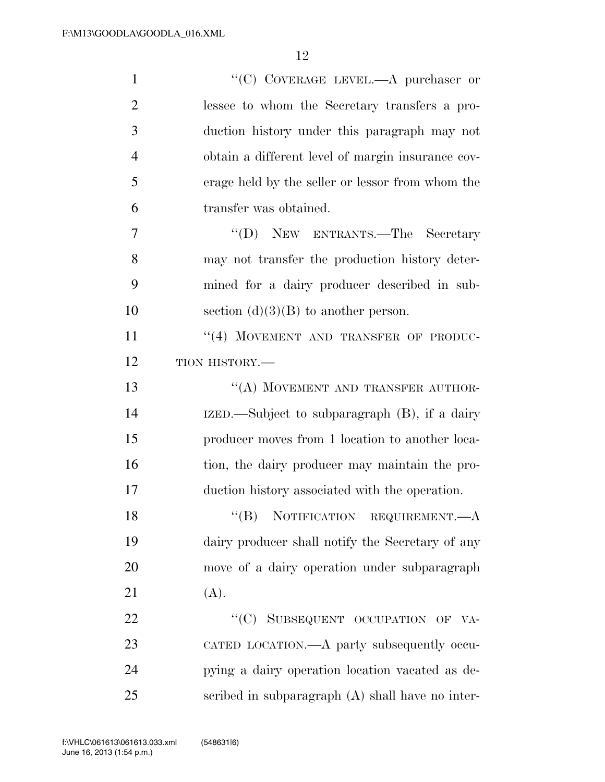| $\mathbf{1}$   | "(C) COVERAGE LEVEL.— $A$ purchaser or             |
|----------------|----------------------------------------------------|
| $\overline{2}$ | lessee to whom the Secretary transfers a pro-      |
| 3              | duction history under this paragraph may not       |
| $\overline{4}$ | obtain a different level of margin insurance cov-  |
| 5              | erage held by the seller or lessor from whom the   |
| 6              | transfer was obtained.                             |
| 7              | "(D) NEW ENTRANTS.—The Secretary                   |
| 8              | may not transfer the production history deter-     |
| 9              | mined for a dairy producer described in sub-       |
| 10             | section $(d)(3)(B)$ to another person.             |
| 11             | "(4) MOVEMENT AND TRANSFER OF PRODUC-              |
| 12             | TION HISTORY.-                                     |
| 13             | "(A) MOVEMENT AND TRANSFER AUTHOR-                 |
| 14             | IZED.—Subject to subparagraph (B), if a dairy      |
| 15             | producer moves from 1 location to another loca-    |
| 16             | tion, the dairy producer may maintain the pro-     |
| 17             | duction history associated with the operation.     |
| 18             | ``(B)<br>NOTIFICATION REQUIREMENT.—A               |
| 19             | dairy producer shall notify the Secretary of any   |
| 20             | move of a dairy operation under subparagraph       |
| 21             | (A).                                               |
| 22             | "(C) SUBSEQUENT OCCUPATION OF VA-                  |
| 23             | CATED LOCATION.—A party subsequently occu-         |
| 24             | pying a dairy operation location vacated as de-    |
| 25             | scribed in subparagraph $(A)$ shall have no inter- |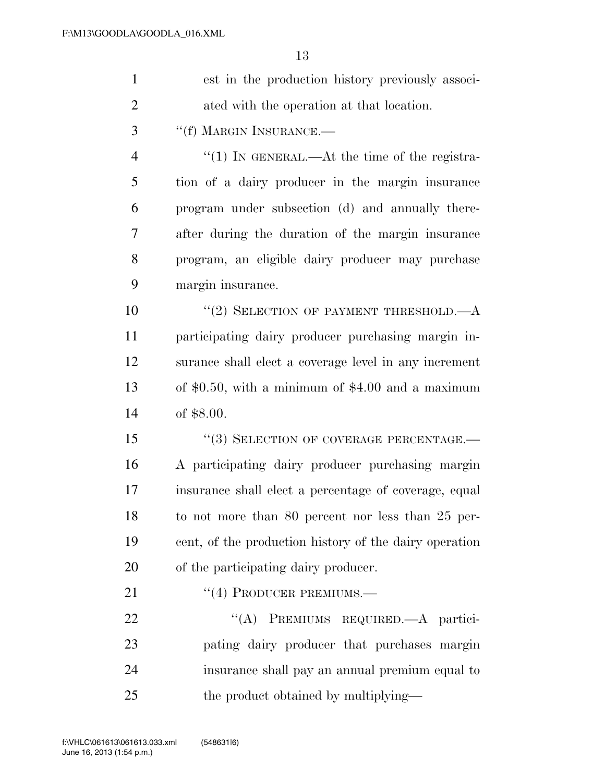| $\mathbf{1}$   | est in the production history previously associ-       |
|----------------|--------------------------------------------------------|
| $\overline{2}$ | ated with the operation at that location.              |
| 3              | "(f) MARGIN INSURANCE.-                                |
| $\overline{4}$ | " $(1)$ In GENERAL.—At the time of the registra-       |
| 5              | tion of a dairy producer in the margin insurance       |
| 6              | program under subsection (d) and annually there-       |
| 7              | after during the duration of the margin insurance      |
| 8              | program, an eligible dairy producer may purchase       |
| 9              | margin insurance.                                      |
| 10             | "(2) SELECTION OF PAYMENT THRESHOLD. $-A$              |
| 11             | participating dairy producer purchasing margin in-     |
| 12             | surance shall elect a coverage level in any increment  |
| 13             | of $$0.50$ , with a minimum of $$4.00$ and a maximum   |
| 14             | of $$8.00.$                                            |
| 15             | "(3) SELECTION OF COVERAGE PERCENTAGE.-                |
| 16             | A participating dairy producer purchasing margin       |
| 17             | insurance shall elect a percentage of coverage, equal  |
| 18             | to not more than 80 percent nor less than 25 per-      |
| 19             | cent, of the production history of the dairy operation |
| 20             | of the participating dairy producer.                   |
| 21             | $``(4)$ PRODUCER PREMIUMS.—                            |
| 22             | PREMIUMS REQUIRED.—A partici-<br>$\lq\lq (A)$          |
| 23             | pating dairy producer that purchases margin            |
| 24             | insurance shall pay an annual premium equal to         |
| 25             | the product obtained by multiplying—                   |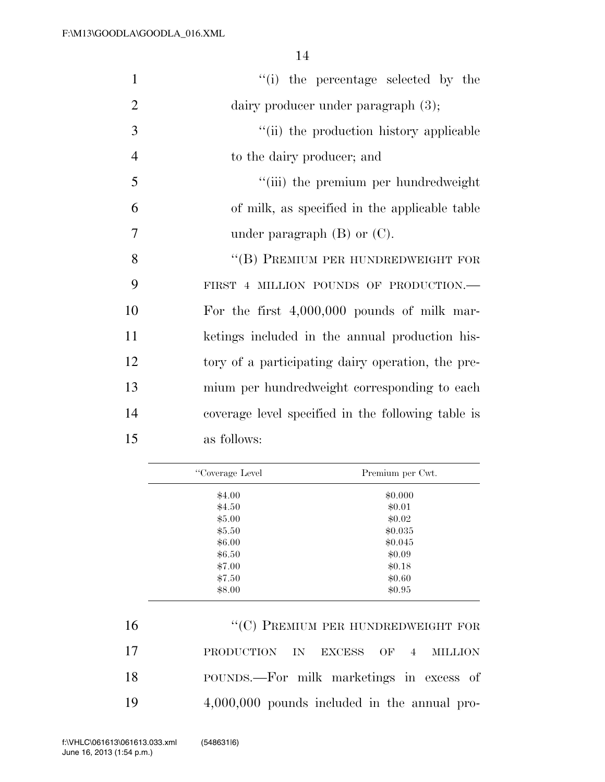| $\mathbf{1}$   | "(i) the percentage selected by the                |  |
|----------------|----------------------------------------------------|--|
| $\overline{2}$ | dairy producer under paragraph $(3)$ ;             |  |
| 3              | "(ii) the production history applicable            |  |
| $\overline{4}$ | to the dairy producer; and                         |  |
| 5              | "(iii) the premium per hundredweight               |  |
| 6              | of milk, as specified in the applicable table      |  |
| $\overline{7}$ | under paragraph $(B)$ or $(C)$ .                   |  |
| 8              | "(B) PREMIUM PER HUNDREDWEIGHT FOR                 |  |
| 9              | FIRST 4 MILLION POUNDS OF PRODUCTION.-             |  |
| 10             | For the first $4,000,000$ pounds of milk mar-      |  |
| 11             | ketings included in the annual production his-     |  |
| 12             | tory of a participating dairy operation, the pre-  |  |
| 13             | mium per hundredweight corresponding to each       |  |
| 14             | coverage level specified in the following table is |  |
| 15             | as follows:                                        |  |
|                |                                                    |  |

| "Coverage Level" | Premium per Cwt. |
|------------------|------------------|
| \$4.00           | \$0.000          |
| \$4.50           | \$0.01           |
| \$5.00           | \$0.02\$         |
| \$5.50           | \$0.035          |
| \$6.00           | \$0.045          |
| \$6.50           | \$0.09           |
| \$7.00           | \$0.18           |
| \$7.50           | \$0.60           |
| \$8.00           | \$0.95           |

16 "(C) PREMIUM PER HUNDREDWEIGHT FOR PRODUCTION IN EXCESS OF 4 MILLION POUNDS.—For milk marketings in excess of 4,000,000 pounds included in the annual pro-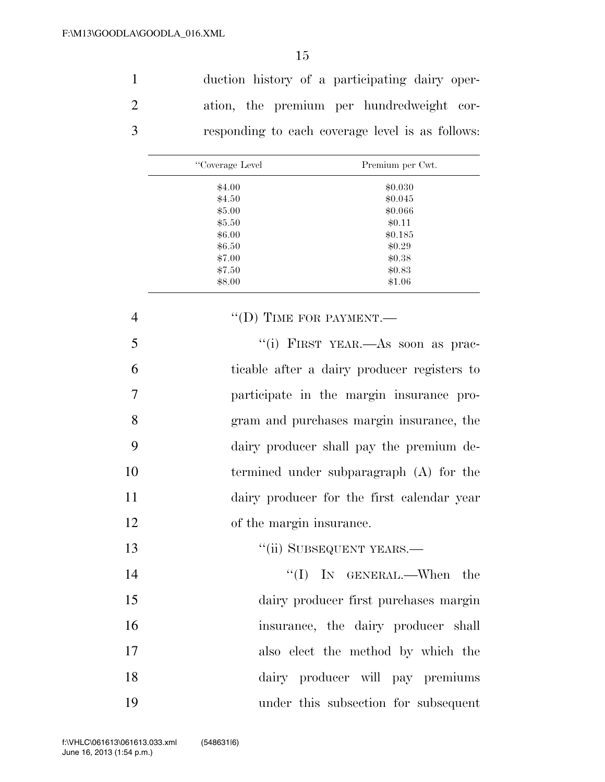duction history of a participating dairy oper- ation, the premium per hundredweight cor-responding to each coverage level is as follows:

| "Coverage Level" | Premium per Cwt. |
|------------------|------------------|
| \$4.00           | \$0.030          |
| \$4.50           | \$0.045          |
| \$5.00           | \$0.066          |
| \$5.50           | \$0.11           |
| \$6.00           | \$0.185          |
| \$6.50           | \$0.29           |
| \$7.00           | \$0.38           |
| \$7.50           | \$0.83           |
| \$8.00           | \$1.06           |

| $\overline{4}$ | $``(D)$ TIME FOR PAYMENT.—                  |
|----------------|---------------------------------------------|
| 5              | "(i) FIRST YEAR.—As soon as prac-           |
| 6              | ticable after a dairy producer registers to |
| 7              | participate in the margin insurance pro-    |
| 8              | gram and purchases margin insurance, the    |
| 9              | dairy producer shall pay the premium de-    |
| 10             | termined under subparagraph (A) for the     |
| 11             | dairy producer for the first calendar year  |
| 12             | of the margin insurance.                    |
| 13             | "(ii) SUBSEQUENT YEARS.-                    |
| 14             | $``(I)$ IN GENERAL.—When the                |
| 15             | dairy producer first purchases margin       |
| 16             | insurance, the dairy producer shall         |
| 17             | also elect the method by which the          |
| 18             | dairy producer will pay premiums            |
| 19             | under this subsection for subsequent        |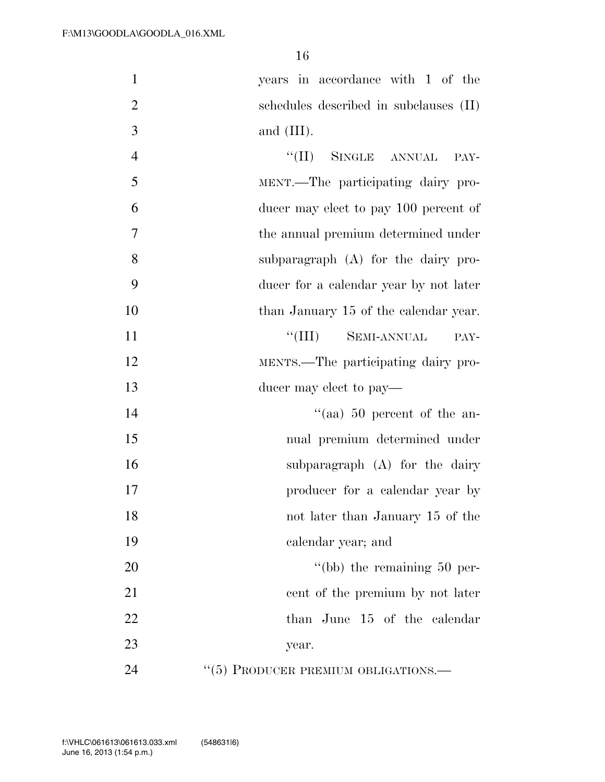| $\mathbf{1}$   | years in accordance with 1 of the            |
|----------------|----------------------------------------------|
| $\overline{2}$ | schedules described in subclauses (II)       |
| 3              | and $(III)$ .                                |
| $\overline{4}$ | "(II) SINGLE ANNUAL<br>PAY-                  |
| 5              | MENT.—The participating dairy pro-           |
| 6              | ducer may elect to pay 100 percent of        |
| $\overline{7}$ | the annual premium determined under          |
| 8              | subparagraph $(A)$ for the dairy pro-        |
| 9              | ducer for a calendar year by not later       |
| 10             | than January 15 of the calendar year.        |
| 11             | $\lq\lq$ (III)<br><b>SEMI-ANNUAL</b><br>PAY- |
| 12             | MENTS.—The participating dairy pro-          |
| 13             | ducer may elect to pay—                      |
| 14             | "(aa) $50$ percent of the an-                |
| 15             | nual premium determined under                |
| 16             | subparagraph $(A)$ for the dairy             |
| 17             | producer for a calendar year by              |
| 18             | not later than January 15 of the             |
| 19             | calendar year; and                           |
| 20             | "(bb) the remaining $50$ per-                |
| 21             | cent of the premium by not later             |
| 22             | than June 15 of the calendar                 |
| 23             | year.                                        |
| 24             | "(5) PRODUCER PREMIUM OBLIGATIONS.—          |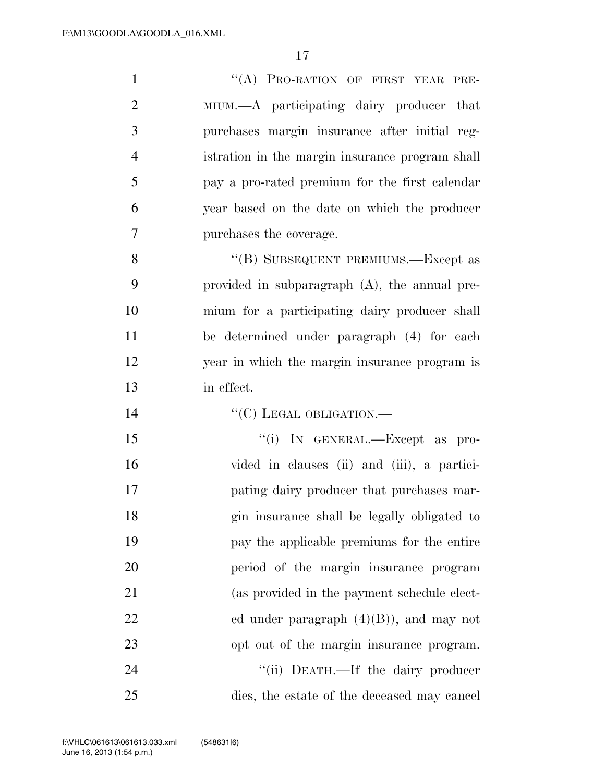| $\mathbf{1}$   | "(A) PRO-RATION OF FIRST YEAR PRE-               |
|----------------|--------------------------------------------------|
| $\overline{2}$ | MIUM.—A participating dairy producer that        |
| 3              | purchases margin insurance after initial reg-    |
| $\overline{4}$ | istration in the margin insurance program shall  |
| 5              | pay a pro-rated premium for the first calendar   |
| 6              | year based on the date on which the producer     |
| 7              | purchases the coverage.                          |
| 8              | "(B) SUBSEQUENT PREMIUMS.—Except as              |
| 9              | provided in subparagraph $(A)$ , the annual pre- |
| 10             | mium for a participating dairy producer shall    |
| 11             | be determined under paragraph (4) for each       |
| 12             | year in which the margin insurance program is    |
| 13             | in effect.                                       |
|                |                                                  |
| 14             | "(C) LEGAL OBLIGATION.-                          |
| 15             | "(i) IN GENERAL.—Except as pro-                  |
| 16             | vided in clauses (ii) and (iii), a partici-      |
| 17             | pating dairy producer that purchases mar-        |
| 18             | gin insurance shall be legally obligated to      |
| 19             | pay the applicable premiums for the entire       |
| 20             | period of the margin insurance program           |
| 21             | (as provided in the payment schedule elect-      |
| 22             | ed under paragraph $(4)(B)$ , and may not        |
| 23             | opt out of the margin insurance program.         |
| 24             | "(ii) DEATH.—If the dairy producer               |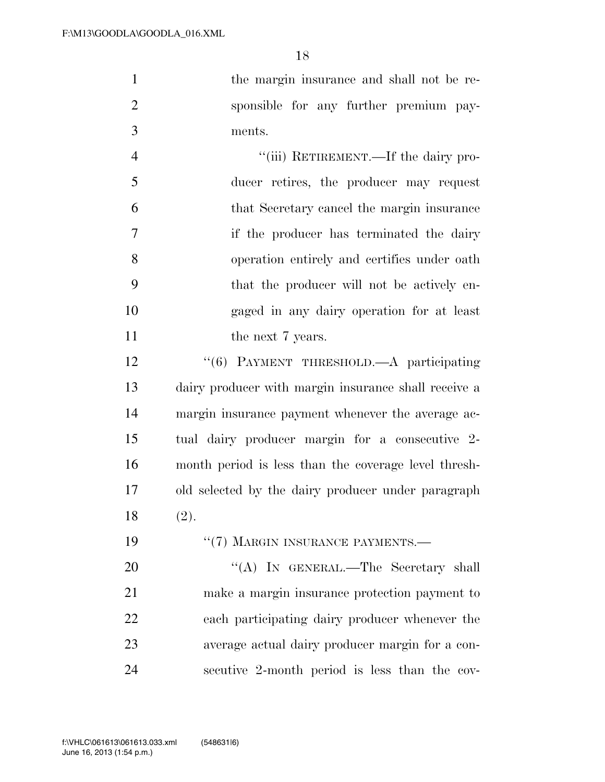the margin insurance and shall not be re- sponsible for any further premium pay-ments.

4 "(iii) RETIREMENT.—If the dairy pro- ducer retires, the producer may request that Secretary cancel the margin insurance if the producer has terminated the dairy operation entirely and certifies under oath that the producer will not be actively en- gaged in any dairy operation for at least 11 the next 7 years.

12 <sup>''</sup>(6) PAYMENT THRESHOLD.—A participating dairy producer with margin insurance shall receive a margin insurance payment whenever the average ac- tual dairy producer margin for a consecutive 2- month period is less than the coverage level thresh- old selected by the dairy producer under paragraph (2).

19 "(7) MARGIN INSURANCE PAYMENTS.— 20 "'(A) In GENERAL.—The Secretary shall make a margin insurance protection payment to each participating dairy producer whenever the average actual dairy producer margin for a con-secutive 2-month period is less than the cov-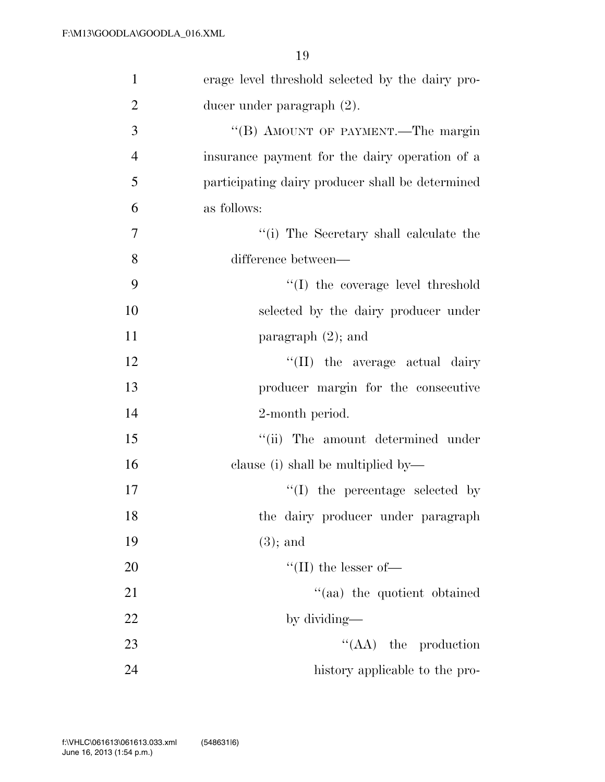| $\mathbf{1}$   | erage level threshold selected by the dairy pro- |
|----------------|--------------------------------------------------|
| $\overline{2}$ | ducer under paragraph (2).                       |
| 3              | "(B) AMOUNT OF PAYMENT.—The margin               |
| $\overline{4}$ | insurance payment for the dairy operation of a   |
| 5              | participating dairy producer shall be determined |
| 6              | as follows:                                      |
| 7              | "(i) The Secretary shall calculate the           |
| 8              | difference between—                              |
| 9              | $\lq\lq$ the coverage level threshold            |
| 10             | selected by the dairy producer under             |
| 11             | paragraph $(2)$ ; and                            |
| 12             | "(II) the average actual dairy                   |
| 13             | producer margin for the consecutive              |
| 14             | 2-month period.                                  |
| 15             | "(ii) The amount determined under                |
| 16             | clause (i) shall be multiplied by—               |
| 17             | $\lq\lq$ (I) the percentage selected by          |
| 18             | the dairy producer under paragraph               |
| 19             | $(3)$ ; and                                      |
| 20             | $\lq\lq$ (II) the lesser of-                     |
| 21             | "(aa) the quotient obtained                      |
| 22             | by dividing—                                     |
| 23             | $\lq\lq$ (AA) the production                     |
| 24             | history applicable to the pro-                   |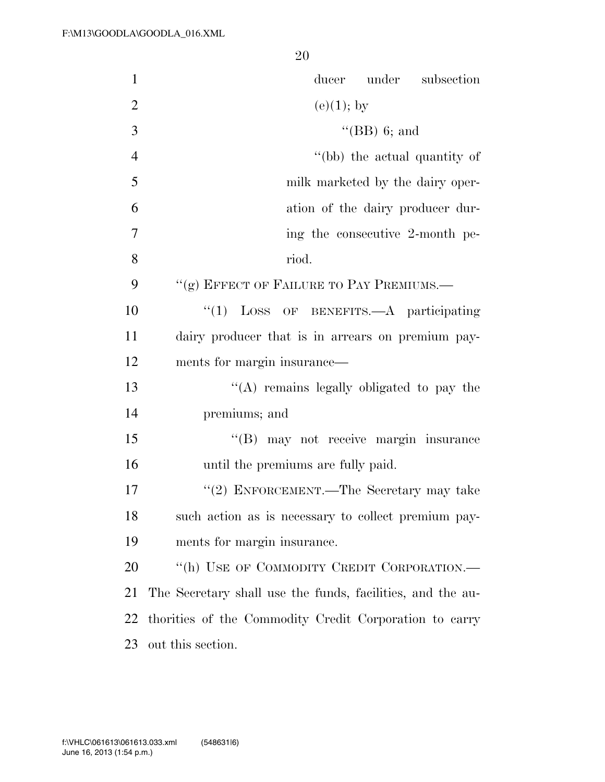| $\mathbf{1}$   | ducer under subsection                                     |
|----------------|------------------------------------------------------------|
| $\overline{2}$ | $(e)(1)$ ; by                                              |
| 3              | $\lq\lq$ (BB) 6; and                                       |
| $\overline{4}$ | "(bb) the actual quantity of                               |
| 5              | milk marketed by the dairy oper-                           |
| 6              | ation of the dairy producer dur-                           |
| $\tau$         | ing the consecutive 2-month pe-                            |
| 8              | riod.                                                      |
| 9              | "(g) EFFECT OF FAILURE TO PAY PREMIUMS.-                   |
| 10             | $\lq(1)$ LOSS OF BENEFITS.—A participating                 |
| 11             | dairy producer that is in arrears on premium pay-          |
| 12             | ments for margin insurance—                                |
| 13             | "(A) remains legally obligated to pay the                  |
| 14             | premiums; and                                              |
| 15             | "(B) may not receive margin insurance                      |
| 16             | until the premiums are fully paid.                         |
| 17             | "(2) ENFORCEMENT.—The Secretary may take                   |
| 18             | such action as is necessary to collect premium pay-        |
| 19             | ments for margin insurance.                                |
| 20             | "(h) USE OF COMMODITY CREDIT CORPORATION.-                 |
| 21             | The Secretary shall use the funds, facilities, and the au- |
| 22             | thorities of the Commodity Credit Corporation to carry     |
| 23             | out this section.                                          |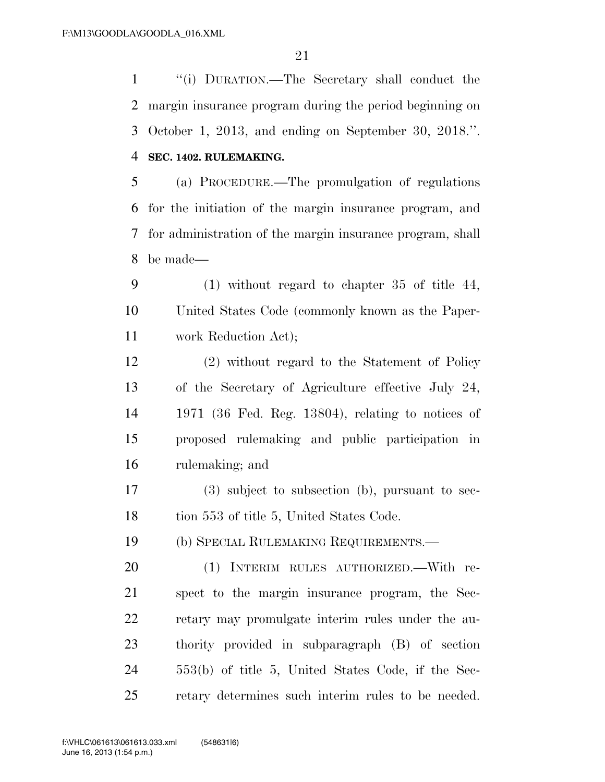''(i) DURATION.—The Secretary shall conduct the margin insurance program during the period beginning on October 1, 2013, and ending on September 30, 2018.''. **SEC. 1402. RULEMAKING.** 

 (a) PROCEDURE.—The promulgation of regulations for the initiation of the margin insurance program, and for administration of the margin insurance program, shall be made—

 (1) without regard to chapter 35 of title 44, United States Code (commonly known as the Paper-work Reduction Act);

 (2) without regard to the Statement of Policy of the Secretary of Agriculture effective July 24, 1971 (36 Fed. Reg. 13804), relating to notices of proposed rulemaking and public participation in rulemaking; and

 (3) subject to subsection (b), pursuant to sec-18 tion 553 of title 5, United States Code.

(b) SPECIAL RULEMAKING REQUIREMENTS.—

 (1) INTERIM RULES AUTHORIZED.—With re- spect to the margin insurance program, the Sec- retary may promulgate interim rules under the au- thority provided in subparagraph (B) of section 553(b) of title 5, United States Code, if the Sec-retary determines such interim rules to be needed.